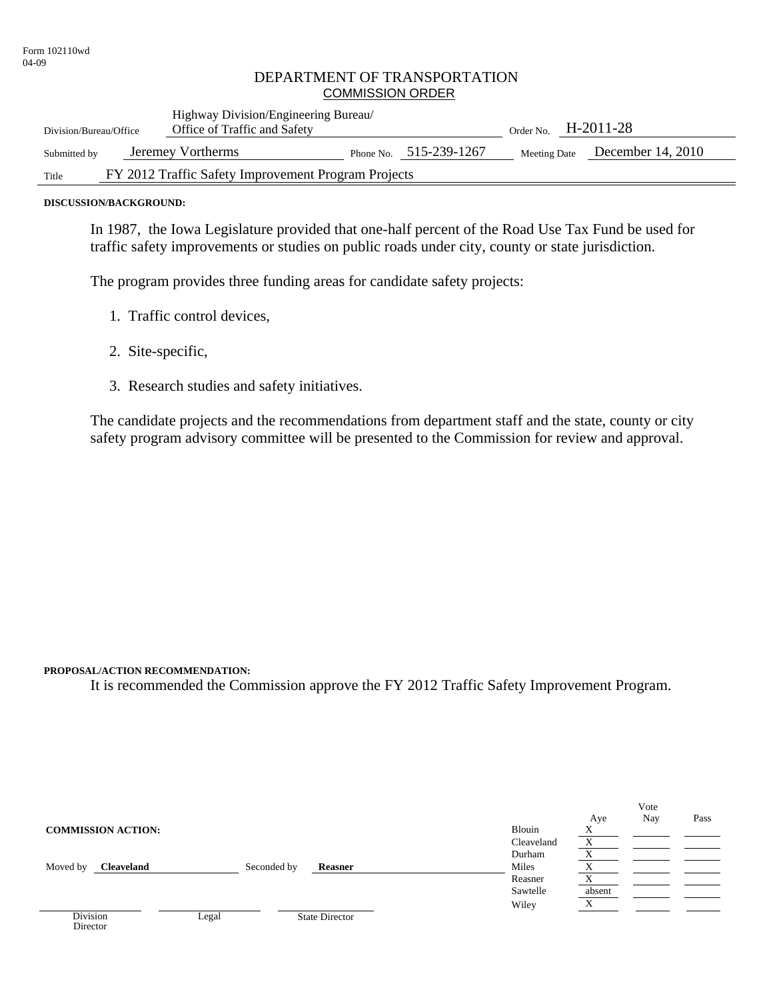#### DEPARTMENT OF TRANSPORTATION COMMISSION ORDER

| Division/Bureau/Office                                       |  | Highway Division/Engineering Bureau/<br>Office of Traffic and Safety |  |                          | H-2011-28<br>Order No. |                   |
|--------------------------------------------------------------|--|----------------------------------------------------------------------|--|--------------------------|------------------------|-------------------|
| Submitted by                                                 |  | Jeremey Vortherms                                                    |  | Phone No. $515-239-1267$ | Meeting Date           | December 14, 2010 |
| FY 2012 Traffic Safety Improvement Program Projects<br>Title |  |                                                                      |  |                          |                        |                   |

#### **DISCUSSION/BACKGROUND:**

In 1987, the Iowa Legislature provided that one-half percent of the Road Use Tax Fund be used for traffic safety improvements or studies on public roads under city, county or state jurisdiction.

The program provides three funding areas for candidate safety projects:

- 1. Traffic control devices,
- 2. Site-specific,
- 3. Research studies and safety initiatives.

The candidate projects and the recommendations from department staff and the state, county or city safety program advisory committee will be presented to the Commission for review and approval.

#### **PROPOSAL/ACTION RECOMMENDATION:**

It is recommended the Commission approve the FY 2012 Traffic Safety Improvement Program.

|                               |       |                        |            |                   | Vote |      |
|-------------------------------|-------|------------------------|------------|-------------------|------|------|
|                               |       |                        |            | Aye               | Nay  | Pass |
| <b>COMMISSION ACTION:</b>     |       |                        | Blouin     | Χ                 |      |      |
|                               |       |                        | Cleaveland |                   |      |      |
|                               |       |                        | Durham     | $\mathbf{v}$<br>A |      |      |
| <b>Cleaveland</b><br>Moved by |       | Seconded by<br>Reasner | Miles      |                   |      |      |
|                               |       |                        | Reasner    |                   |      |      |
|                               |       |                        | Sawtelle   | absent            |      |      |
|                               |       |                        | Wiley      | $\mathbf{v}$<br>л |      |      |
| <b>Division</b>               | Legal | <b>State Director</b>  |            |                   |      |      |
| Director                      |       |                        |            |                   |      |      |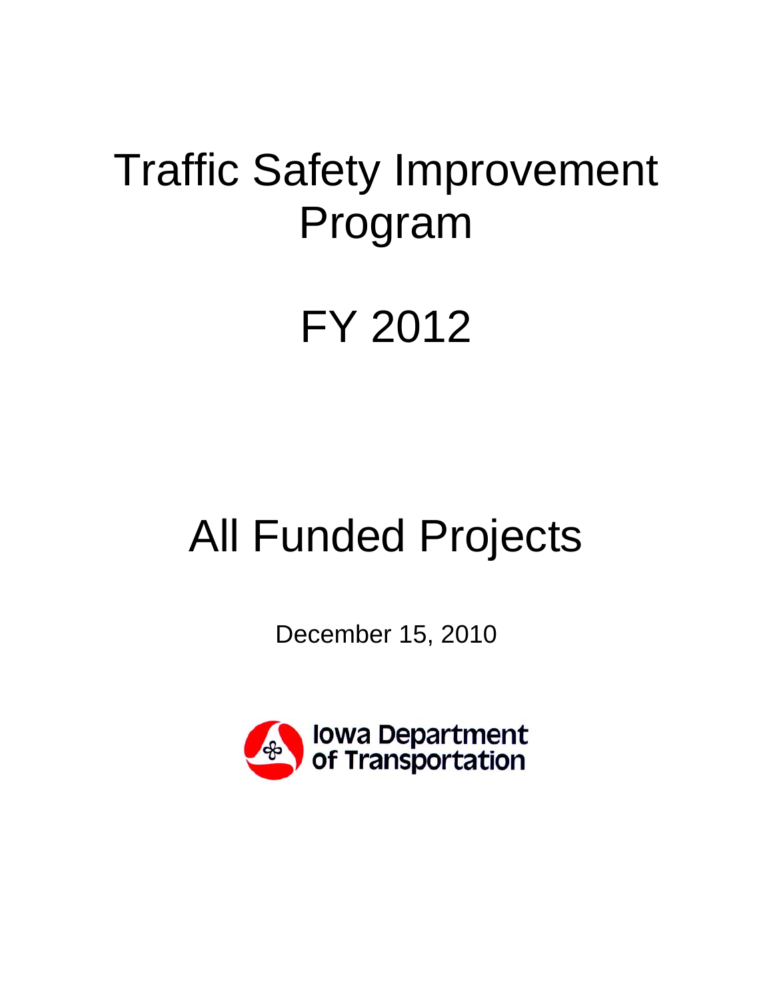## Traffic Safety Improvement Program

## FY 2012

# All Funded Projects

December 15, 2010

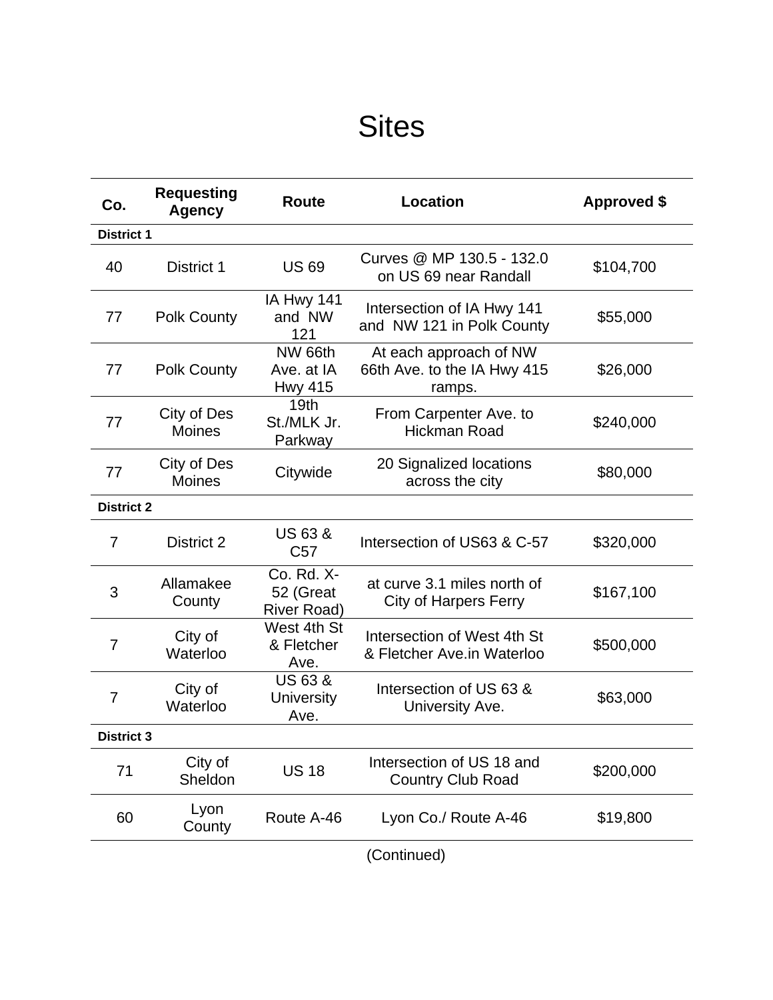## **Sites**

| Co.               | <b>Requesting</b><br><b>Agency</b> | Route                                           | <b>Location</b>                                                 | <b>Approved \$</b> |  |  |
|-------------------|------------------------------------|-------------------------------------------------|-----------------------------------------------------------------|--------------------|--|--|
| <b>District 1</b> |                                    |                                                 |                                                                 |                    |  |  |
| 40                | District 1                         | <b>US69</b>                                     | Curves @ MP 130.5 - 132.0<br>on US 69 near Randall              | \$104,700          |  |  |
| 77                | <b>Polk County</b>                 | IA Hwy 141<br>and NW<br>121                     | Intersection of IA Hwy 141<br>and NW 121 in Polk County         | \$55,000           |  |  |
| 77                | <b>Polk County</b>                 | NW 66th<br>Ave. at IA<br><b>Hwy 415</b>         | At each approach of NW<br>66th Ave. to the IA Hwy 415<br>ramps. | \$26,000           |  |  |
| 77                | City of Des<br><b>Moines</b>       | 19 <sub>th</sub><br>St./MLK Jr.<br>Parkway      | From Carpenter Ave. to<br><b>Hickman Road</b>                   | \$240,000          |  |  |
| 77                | City of Des<br><b>Moines</b>       | Citywide                                        | 20 Signalized locations<br>across the city                      | \$80,000           |  |  |
| <b>District 2</b> |                                    |                                                 |                                                                 |                    |  |  |
| 7                 | District 2                         | <b>US 63 &amp;</b><br>C <sub>57</sub>           | Intersection of US63 & C-57                                     | \$320,000          |  |  |
| 3                 | Allamakee<br>County                | Co. Rd. X-<br>52 (Great<br><b>River Road)</b>   | at curve 3.1 miles north of<br><b>City of Harpers Ferry</b>     | \$167,100          |  |  |
| 7                 | City of<br>Waterloo                | West 4th St<br>& Fletcher<br>Ave.               | Intersection of West 4th St<br>& Fletcher Ave.in Waterloo       | \$500,000          |  |  |
| 7                 | City of<br>Waterloo                | <b>US 63 &amp;</b><br><b>University</b><br>Ave. | Intersection of US 63 &<br>University Ave.                      | \$63,000           |  |  |
| <b>District 3</b> |                                    |                                                 |                                                                 |                    |  |  |
| 71                | City of<br>Sheldon                 | <b>US 18</b>                                    | Intersection of US 18 and<br><b>Country Club Road</b>           | \$200,000          |  |  |
| 60                | Lyon<br>County                     | Route A-46                                      | Lyon Co./ Route A-46                                            | \$19,800           |  |  |
|                   |                                    |                                                 | (Continued)                                                     |                    |  |  |

(Continued)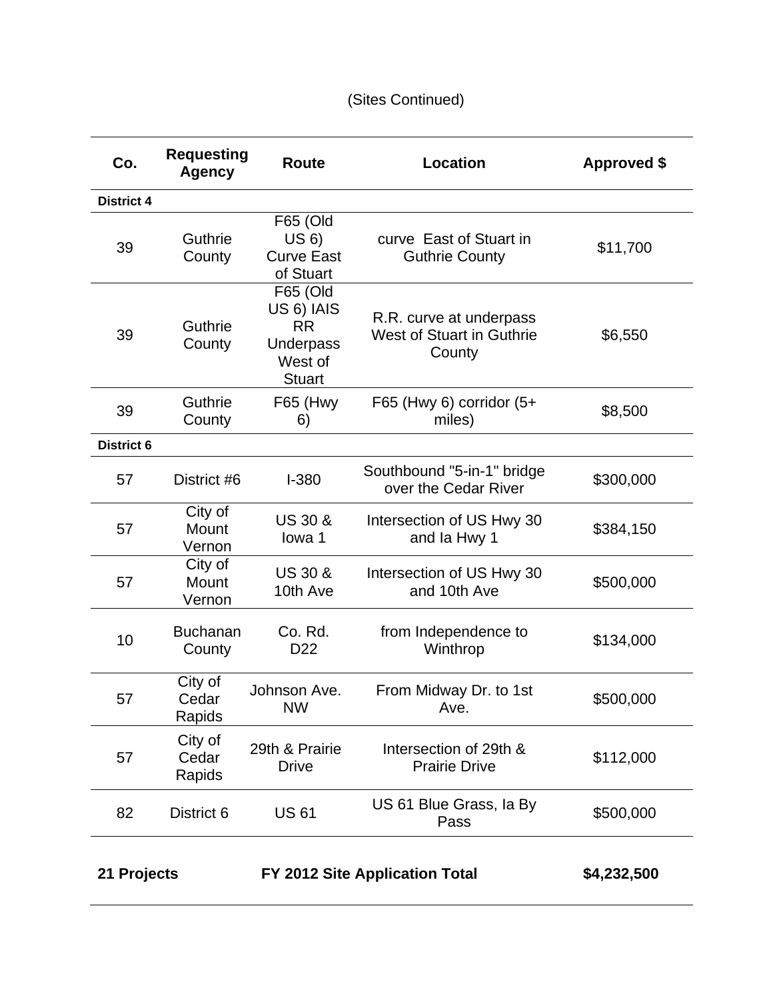### (Sites Continued)

| Co.               | <b>Requesting</b><br><b>Agency</b> | <b>Route</b>                                                                 | <b>Location</b>                                                | <b>Approved \$</b> |
|-------------------|------------------------------------|------------------------------------------------------------------------------|----------------------------------------------------------------|--------------------|
| <b>District 4</b> |                                    |                                                                              |                                                                |                    |
| 39                | Guthrie<br>County                  | F65 (Old<br>US 6)<br><b>Curve East</b><br>of Stuart                          | curve East of Stuart in<br><b>Guthrie County</b>               | \$11,700           |
| 39                | Guthrie<br>County                  | F65 (Old<br>US 6) IAIS<br><b>RR</b><br>Underpass<br>West of<br><b>Stuart</b> | R.R. curve at underpass<br>West of Stuart in Guthrie<br>County | \$6,550            |
| 39                | Guthrie<br>County                  | <b>F65 (Hwy</b><br>6)                                                        | F65 (Hwy 6) corridor $(5+)$<br>miles)                          | \$8,500            |
| <b>District 6</b> |                                    |                                                                              |                                                                |                    |
| 57                | District #6                        | $I - 380$                                                                    | Southbound "5-in-1" bridge<br>over the Cedar River             | \$300,000          |
| 57                | City of<br>Mount<br>Vernon         | <b>US 30 &amp;</b><br>lowa 1                                                 | Intersection of US Hwy 30<br>and la Hwy 1                      | \$384,150          |
| 57                | City of<br>Mount<br>Vernon         | <b>US 30 &amp;</b><br>10th Ave                                               | Intersection of US Hwy 30<br>and 10th Ave                      | \$500,000          |
| 10                | <b>Buchanan</b><br>County          | Co. Rd.<br>D <sub>22</sub>                                                   | from Independence to<br>Winthrop                               | \$134,000          |
| 57                | City of<br>Cedar<br>Rapids         | Johnson Ave.<br><b>NW</b>                                                    | From Midway Dr. to 1st<br>Ave.                                 | \$500,000          |
| 57                | City of<br>Cedar<br>Rapids         | 29th & Prairie<br><b>Drive</b>                                               | Intersection of 29th &<br><b>Prairie Drive</b>                 | \$112,000          |
| 82                | District 6                         | <b>US61</b>                                                                  | US 61 Blue Grass, la By<br>Pass                                | \$500,000          |
| 21 Projects       |                                    |                                                                              | FY 2012 Site Application Total                                 | \$4,232,500        |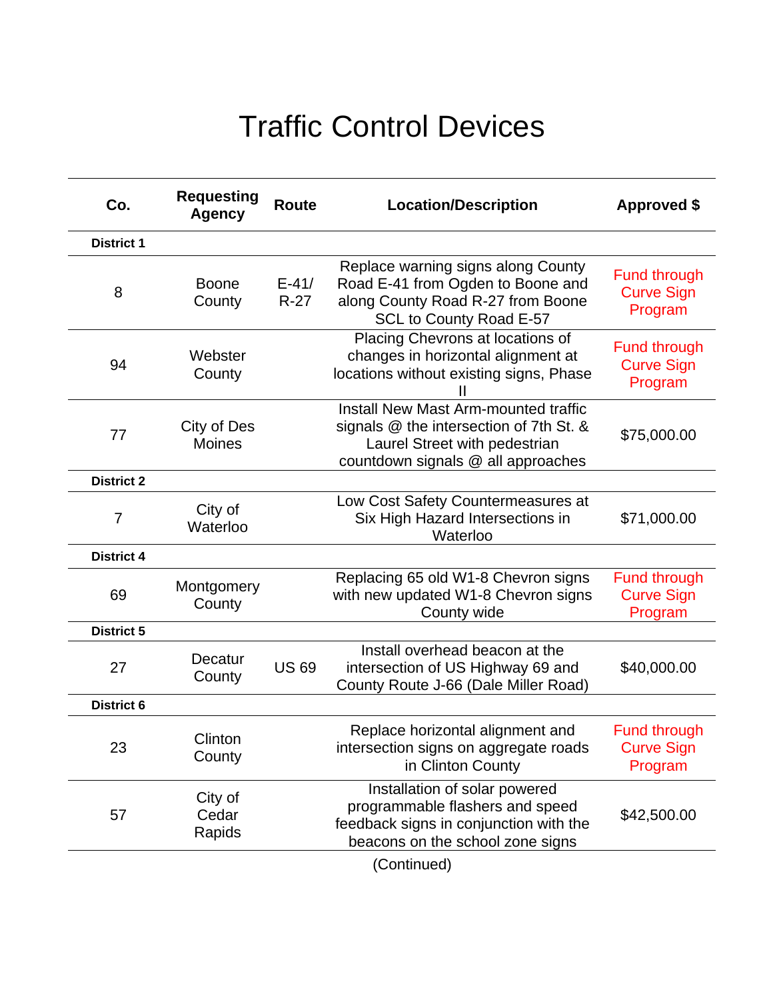## Traffic Control Devices

| Co.               | <b>Requesting</b><br><b>Agency</b> | <b>Route</b>        | <b>Location/Description</b>                                                                                                                            | <b>Approved \$</b>                                  |
|-------------------|------------------------------------|---------------------|--------------------------------------------------------------------------------------------------------------------------------------------------------|-----------------------------------------------------|
| <b>District 1</b> |                                    |                     |                                                                                                                                                        |                                                     |
| 8                 | <b>Boone</b><br>County             | $E - 41/$<br>$R-27$ | Replace warning signs along County<br>Road E-41 from Ogden to Boone and<br>along County Road R-27 from Boone<br>SCL to County Road E-57                | <b>Fund through</b><br><b>Curve Sign</b><br>Program |
| 94                | Webster<br>County                  |                     | Placing Chevrons at locations of<br>changes in horizontal alignment at<br>locations without existing signs, Phase                                      | <b>Fund through</b><br><b>Curve Sign</b><br>Program |
| 77                | City of Des<br><b>Moines</b>       |                     | Install New Mast Arm-mounted traffic<br>signals @ the intersection of 7th St. &<br>Laurel Street with pedestrian<br>countdown signals @ all approaches | \$75,000.00                                         |
| <b>District 2</b> |                                    |                     |                                                                                                                                                        |                                                     |
| $\overline{7}$    | City of<br>Waterloo                |                     | Low Cost Safety Countermeasures at<br>Six High Hazard Intersections in<br>Waterloo                                                                     | \$71,000.00                                         |
| <b>District 4</b> |                                    |                     |                                                                                                                                                        |                                                     |
| 69                | Montgomery<br>County               |                     | Replacing 65 old W1-8 Chevron signs<br>with new updated W1-8 Chevron signs<br>County wide                                                              | <b>Fund through</b><br><b>Curve Sign</b><br>Program |
| <b>District 5</b> |                                    |                     |                                                                                                                                                        |                                                     |
| 27                | Decatur<br>County                  | <b>US69</b>         | Install overhead beacon at the<br>intersection of US Highway 69 and<br>County Route J-66 (Dale Miller Road)                                            | \$40,000.00                                         |
| <b>District 6</b> |                                    |                     |                                                                                                                                                        |                                                     |
| 23                | Clinton<br>County                  |                     | Replace horizontal alignment and<br>intersection signs on aggregate roads<br>in Clinton County                                                         | <b>Fund through</b><br><b>Curve Sign</b><br>Program |
| 57                | City of<br>Cedar<br>Rapids         |                     | Installation of solar powered<br>programmable flashers and speed<br>feedback signs in conjunction with the<br>beacons on the school zone signs         | \$42,500.00                                         |
|                   |                                    |                     | $\overline{O}$ and $\overline{O}$                                                                                                                      |                                                     |

(Continued)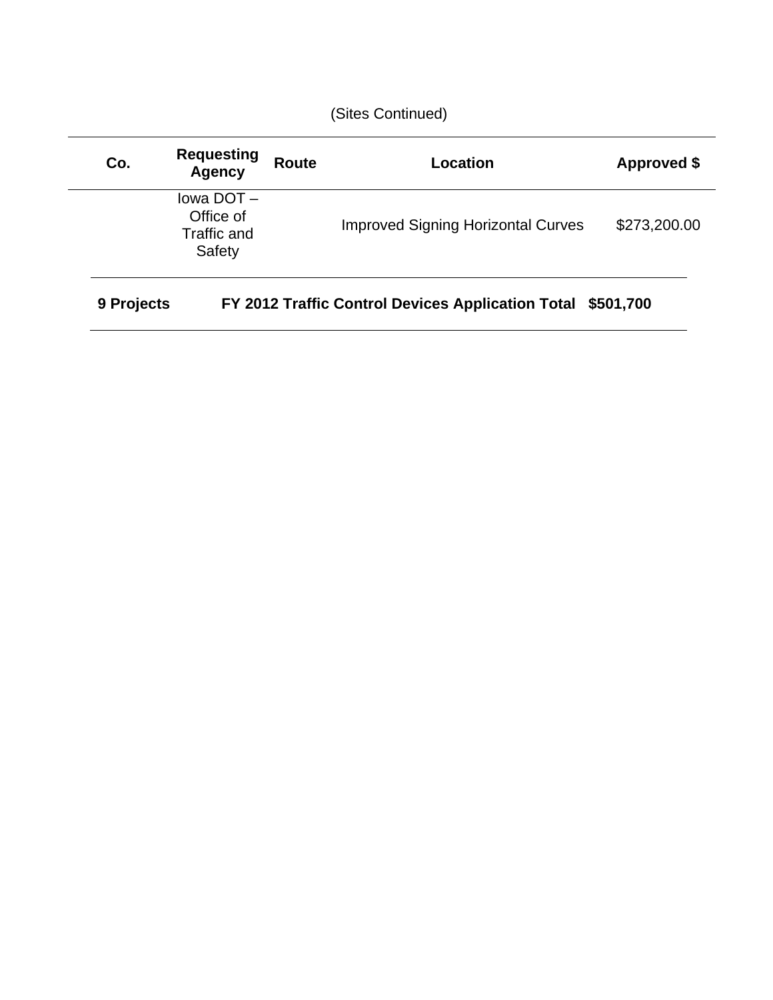| Co.        | <b>Requesting</b><br><b>Agency</b>              | <b>Route</b> | Location                                          | Approved \$  |
|------------|-------------------------------------------------|--------------|---------------------------------------------------|--------------|
|            | lowa DOT-<br>Office of<br>Traffic and<br>Safety |              | <b>Improved Signing Horizontal Curves</b>         | \$273,200.00 |
| 9 Projects |                                                 |              | FY 2012 Traffic Control Devices Application Total | \$501,700    |

(Sites Continued)